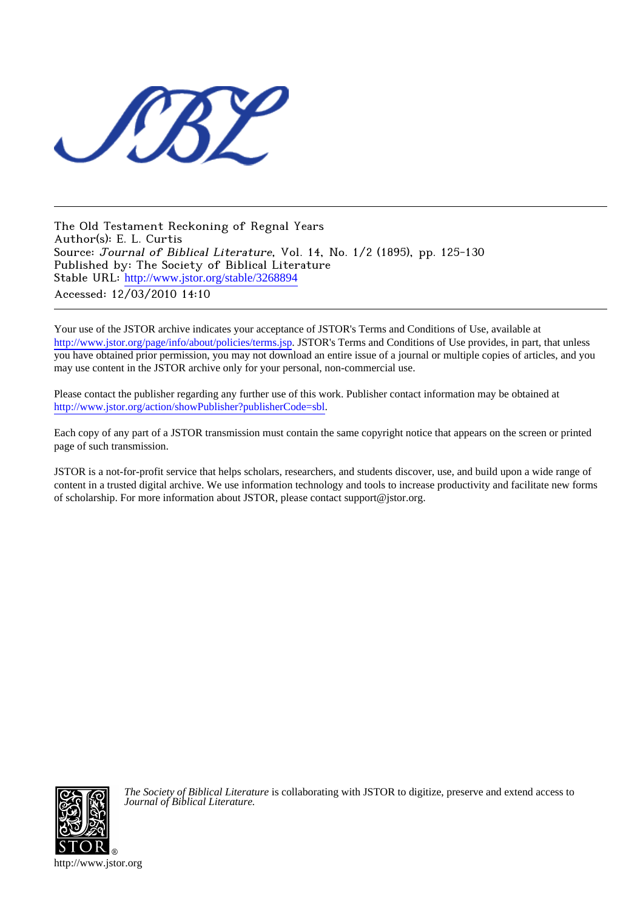

The Old Testament Reckoning of Regnal Years Author(s): E. L. Curtis Source: Journal of Biblical Literature, Vol. 14, No. 1/2 (1895), pp. 125-130 Published by: The Society of Biblical Literature Stable URL: [http://www.jstor.org/stable/3268894](http://www.jstor.org/stable/3268894?origin=JSTOR-pdf) Accessed: 12/03/2010 14:10

Your use of the JSTOR archive indicates your acceptance of JSTOR's Terms and Conditions of Use, available at <http://www.jstor.org/page/info/about/policies/terms.jsp>. JSTOR's Terms and Conditions of Use provides, in part, that unless you have obtained prior permission, you may not download an entire issue of a journal or multiple copies of articles, and you may use content in the JSTOR archive only for your personal, non-commercial use.

Please contact the publisher regarding any further use of this work. Publisher contact information may be obtained at [http://www.jstor.org/action/showPublisher?publisherCode=sbl.](http://www.jstor.org/action/showPublisher?publisherCode=sbl)

Each copy of any part of a JSTOR transmission must contain the same copyright notice that appears on the screen or printed page of such transmission.

JSTOR is a not-for-profit service that helps scholars, researchers, and students discover, use, and build upon a wide range of content in a trusted digital archive. We use information technology and tools to increase productivity and facilitate new forms of scholarship. For more information about JSTOR, please contact support@jstor.org.



*The Society of Biblical Literature* is collaborating with JSTOR to digitize, preserve and extend access to *Journal of Biblical Literature.*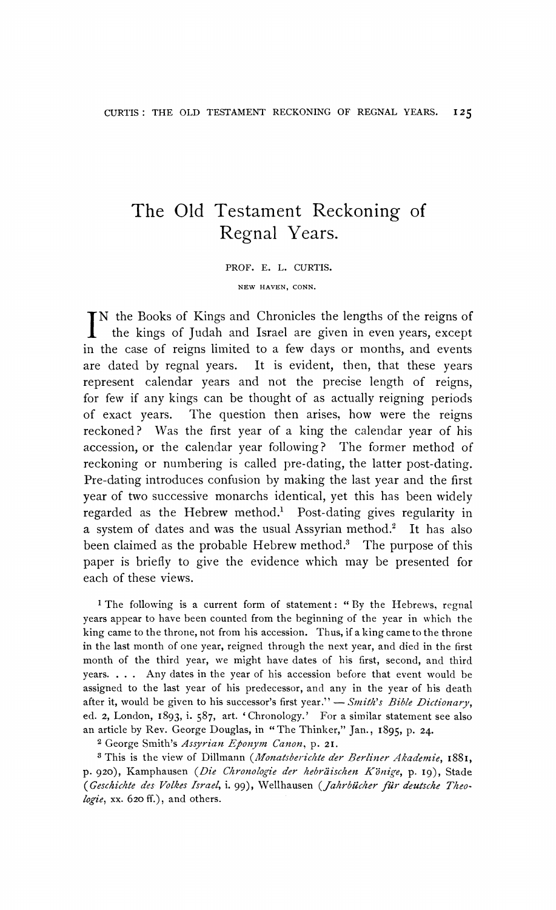## **The Old Testament Reckoning of Regnal Years.**

**PROF. E. L. CURTIS. NEW HAVEN, CONN.** 

**N the Books of Kings and Chronicles the lengths of the reigns of the kings of Judah and Israel are given in even years, except in the case of reigns limited to a few days or months, and events are dated by regnal years. It is evident, then, that these years represent calendar years and not the precise length of reigns, for few if any kings can be thought of as actually reigning periods of exact years. The question then arises, how were the reigns reckoned? Was the first year of a king the calendar year of his accession, or the calendar year following? The former method of reckoning or numbering is called pre-dating, the latter post-dating. Pre-dating introduces confusion by making the last year and the first year of two successive monarchs identical, yet this has been widely regarded as the Hebrew method.' Post-dating gives regularity in a system of dates and was the usual Assyrian method.2 It has also been claimed as the probable Hebrew method.3 The purpose of this paper is briefly to give the evidence which may be presented for each of these views.** 

**1 The following is a current form of statement: "By the Hebrews, regnal years appear to have been counted from the beginning of the year in which the king came to the throne, not from his accession. Thus, if a king came to the throne in the last month of one year, reigned through the next year, and died in the first month of the third year, we might have dates of his first, second, and third years. . . . Any dates in the year of his accession before that event would be assigned to the last year of his predecessor, and any in the year of his death**  after it, would be given to his successor's first year." - Smith's Bible Dictionary, **ed. 2, London, 1893, i. 587, art. 'Chronology.' For a similar statement see also an article by Rev. George Douglas, in "The Thinker," Jan., 1895, p. 24.** 

**<sup>2</sup>George Smith's Assyrian Eponym Canon, p. 21.** 

**3 This is the view of Dillmann (Monatsberichte der Berliner Akademie, i881,**  p. 920), Kamphausen (Die Chronologie der hebräischen Könige, p. 19), Stade (Geschichte des Volkes Israel, i. 99), Wellhausen (*Jahrbücher für deutsche Theo***logie, xx. 620 ff.), and others.**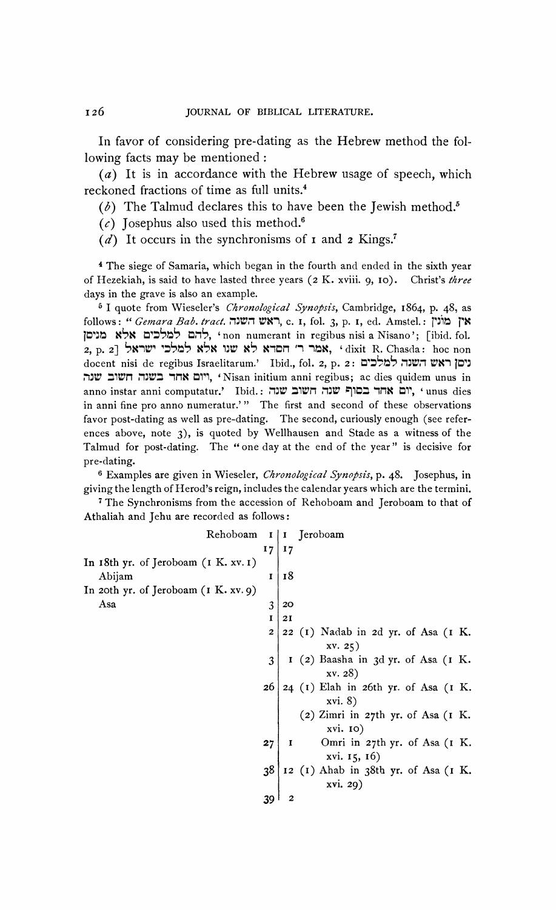**In favor of considering pre-dating as the Hebrew method the following facts may be mentioned:** 

**(a) It is in accordance with the Hebrew usage of speech, which reckoned fractions of time as full units.4** 

**(b) The Talmud declares this to have been the Jewish method.5** 

**(c) Josephus also used this method.6** 

**(d) It occurs in the synchronisms of i and 2 Kings.7** 

**4 The siege of Samaria, which began in the fourth and ended in the sixth year of Hezekiah, is said to have lasted three years (2 K. xviii. 9, Io). Christ's three days in the grave is also an example.** 

**5 I quote from Wieseler's Chronological Synopsis, Cambridge, 1864, p. 48, as follows: " Gemara Bab. tract. M,"1 IXIl, c. I, fol. 3, p. I, ed. Amstel.: jlitt I' ltV) KItK =t + l L, 'non numerant in regibus nisi a Nisano'; [ibid. fol. 2, p. 2] 5W?I Vt KM' W 1X " W: '- 1 , ' dixit R. Chasda: hoc non**  docent nisi de regibus Israelitarum.' Ibid., fol. 2, p. 2: **ב'לכים** למלכים ייום אחד בשנה חשוב שנה, 'Nisan initium anni regibus; ac dies quidem unus in **anno instar anni computatur.' Ibid.: 13^ =tIl n ," t = TI n K ',, ' unus dies in anni fine pro anno numeratur.'" The first and second of these observations favor post-dating as well as pre-dating. The second, curiously enough (see references above, note 3), is quoted by Wellhausen and Stade as a witness of the Talmud for post-dating. The "one day at the end of the year" is decisive for pre-dating.** 

**6 Examples are given in Wieseler, Chronological Synopsis, p. 48. Josephus, in giving the length of Herod's reign, includes the calendar years which are the termini.** 

**7 The Synchronisms from the accession of Rehoboam and Jeroboam to that of Athaliah and Jehu are recorded as follows:** 

|                                        |              | Rehoboam I   I Jeroboam                |
|----------------------------------------|--------------|----------------------------------------|
|                                        |              | $I7$   $I7$                            |
| In 18th yr. of Jeroboam $(1 K. xv. 1)$ |              |                                        |
| Abijam                                 | $\mathbf{I}$ | 18                                     |
| In 20th yr. of Jeroboam $(I K. xv. 9)$ |              |                                        |
| Asa                                    | 3            | 20                                     |
|                                        |              | 2I                                     |
|                                        |              | 22 (I) Nadab in 2d yr. of Asa (I K.    |
|                                        |              | xv. 25)                                |
|                                        |              | I (2) Baasha in 3d yr. of Asa (I K.    |
|                                        |              | xv. 28)                                |
|                                        | 26           | 24 (1) Elah in 26th yr. of Asa (1 K.   |
|                                        |              | xvi. 8)                                |
|                                        |              | (2) Zimri in 27th yr. of Asa (I K.     |
|                                        |              | xvi. 10)                               |
|                                        | 27           | Omri in 27th yr. of Asa (I K.          |
|                                        |              | xvi. 15, 16)                           |
|                                        | 38           | $12$ (1) Ahab in 38th yr. of Asa (1 K. |
|                                        |              | xvi. 29)                               |
|                                        | 39           | $\overline{c}$                         |

**126**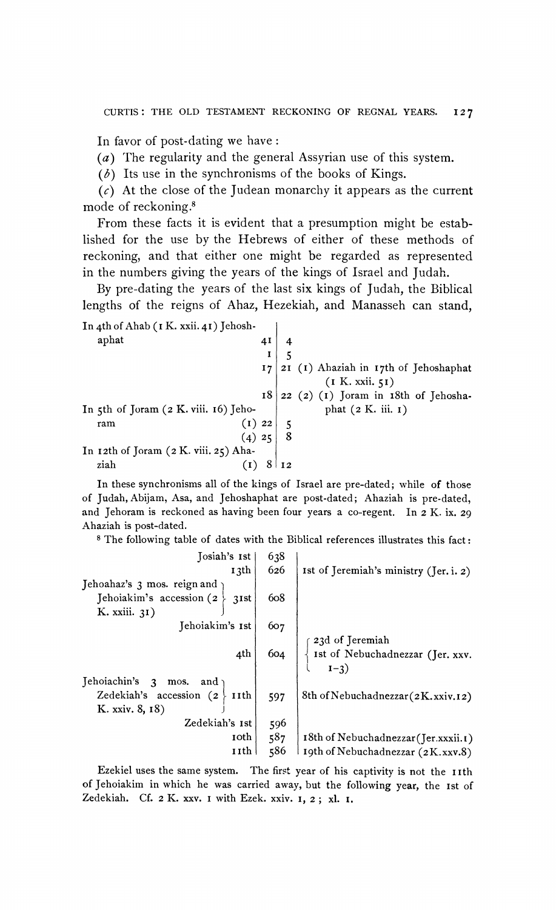**In favor of post-dating we have:** 

**(a) The regularity and the general Assyrian use of this system.** 

**(b) Its use in the synchronisms of the books of Kings.** 

**(c) At the close of the Judean monarchy it appears as the current mode of reckoning.8** 

**From these facts it is evident that a presumption might be established for the use by the Hebrews of either of these methods of reckoning, and that either one might be regarded as represented in the numbers giving the years of the kings of Israel and Judah.** 

**By pre-dating the years of the last six kings of Judah, the Biblical lengths of the reigns of Ahaz, Hezekiah, and Manasseh can stand,** 

 $\overline{\phantom{0}}$ 

**In 4th of Ahab (I K. xxii. 41) Jehosh-**

| aphat                                        |                    |              |                                           |
|----------------------------------------------|--------------------|--------------|-------------------------------------------|
|                                              |                    |              |                                           |
|                                              |                    |              | 17 21 (1) Ahaziah in 17th of Jehoshaphat  |
|                                              |                    |              | (I K. xxii. 5I)                           |
|                                              |                    |              | $18/22$ (2) (1) Joram in 18th of Jehosha- |
| In $\zeta$ th of Joram (2 K. viii. 16) Jeho- |                    |              | phat $(2 K. iii. I)$                      |
| ram                                          | $(I)$ 22           |              |                                           |
|                                              | $(4) 25 \,   \, 8$ |              |                                           |
| In 12th of Joram (2 K. viii. 25) Aha-        |                    |              |                                           |
| ziah                                         |                    | $\mathbf{r}$ |                                           |

**In these synchronisms all of the kings of Israel are pre-dated; while of those of Judah, Abijam, Asa, and Jehoshaphat are post-dated; Ahaziah is pre-dated, and Jehoram is reckoned as having been four years a co-regent. In 2 K. ix. 29 Ahaziah is post-dated.** 

**8 The following table of dates with the Biblical references illustrates this fact:** 

**Josiah's 1st** | 638 **I**3th | 626 | Ist of Jeremiah's ministry (Jer. i. 2) Jehoahaz's 3 mos. reign and **Jehoiakim's accession**  $\left(2 \div 31st \right)$  **608 K. xxiii. 31) Jehoiakim's ist** 607 **23d of Jeremiah**   $4th$  604  $\frac{1}{4}$  ist of Nebuchadnezzar (Jer. xxv.  $I - 3)$ **Jehoiachin's 3 mos. and**  IIth | 597 8th of Nebuchadnezzar (2 K.xxiv.I2) **K.** xxiv. 8, 18) **Zedekiah's Ist | 596 loth** 587 **ISth of Nebuchadnezzar (Jer.xxxii.1)**<br>11th 586 19th of Nebuchadnezzar (2K.xxv.8) **I I**gth of Nebuchadnezzar (2K.xxv.8)

**Ezekiel uses the same system. The first year of his captivity is not the <sup>i</sup>th of Jehoiakim in which he was carried away, but the following year, the Ist of Zedekiah. Cf. 2 K. xxv. I with Ezek. xxiv. I, 2; xl. I.**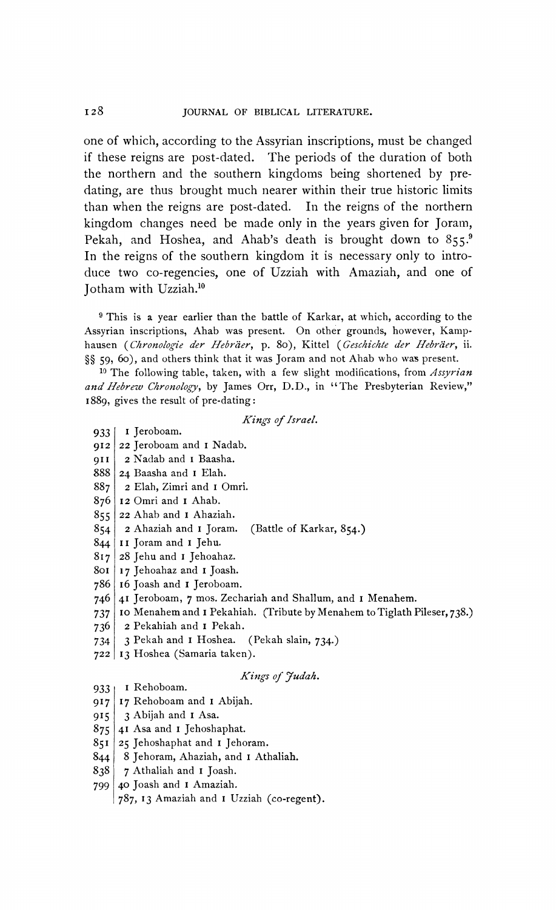**one of which, according to the Assyrian inscriptions, must be changed if these reigns are post-dated. The periods of the duration of both the northern and the southern kingdoms being shortened by predating, are thus brought much nearer within their true historic limits than when the reigns are post-dated. In the reigns of the northern kingdom changes need be made only in the years given for Joram, Pekah, and Hoshea, and Ahab's death is brought down to 855.9 In the reigns of the southern kingdom it is necessary only to introduce two co-regencies, one of Uzziah with Amaziah, and one of Jotham with Uzziah.l'** 

**9 This is a year earlier than the battle of Karkar, at which, according to the Assyrian inscriptions, Ahab was present. On other grounds, however, Kamp**hausen (Chronologie der Hebräer, p. 80), Kittel (Geschichte der Hebräer, ii. §§ 59, 60), and others think that it was Joram and not Ahab who was present.

**10 The following table, taken, with a few slight modifications, from Assyrian and Hebrew Chronology, by James Orr, D.D., in "The Presbyterian Review," I889, gives the result of pre-dating:** 

## **Kings of Israel.**

- **933 I Jeroboam.**
- **912 22 Jeroboam and I Nadab.**
- **91 2 Nadab and I Baasha.**
- 
- **888 24 Baasha and I Elah. 887 2 Elah, Zimri and I Omri.**
- **876 12 Omri and I Ahab.**
- **855 22 Ahab and I Ahaziah.**
- **854 <sup>2</sup>Ahaziah and i Joram. (Battle of Karkar, 854.)**
- **844 11 Joram and I Jehu.**
- **817 28 Jehu and I Jehoahaz.**
- **80o 17 Jehoahaz and I Joash.**
- **786 i6 Joash and I Jeroboam.**
- **746 41 Jeroboam, 7 mos. Zechariah and Shallum, and I Menahem.**
- **737 10 Menahem and I Pekahiah. (Tribute by Menahem to Tiglath Pileser, 738.)**
- **736 2 Pekahiah and I Pekah.**
- **734 3 Pekah and I Hoshea. (Pekah slain, 734.)**
- **722 13 Hoshea (Samaria taken).**

## **Kings of 7udah.**

- **933 I Rehoboam.**
- **917 17 Rehoboam and <sup>i</sup>Abijah.**
- **915 3 Abijah and I Asa.**
- **875 41 Asa and I Jehoshaphat.**
- **851 25 Jehoshaphat and i Jehoram.**
- **844 8 Jehoram, Ahaziah, and I Athaliah.**
- **838 7 Athaliah and I Joash.**
- **799 40 Joash and i Amaziah.** 
	- **787, 13 Amaziah and I Uzziah (co-regent).**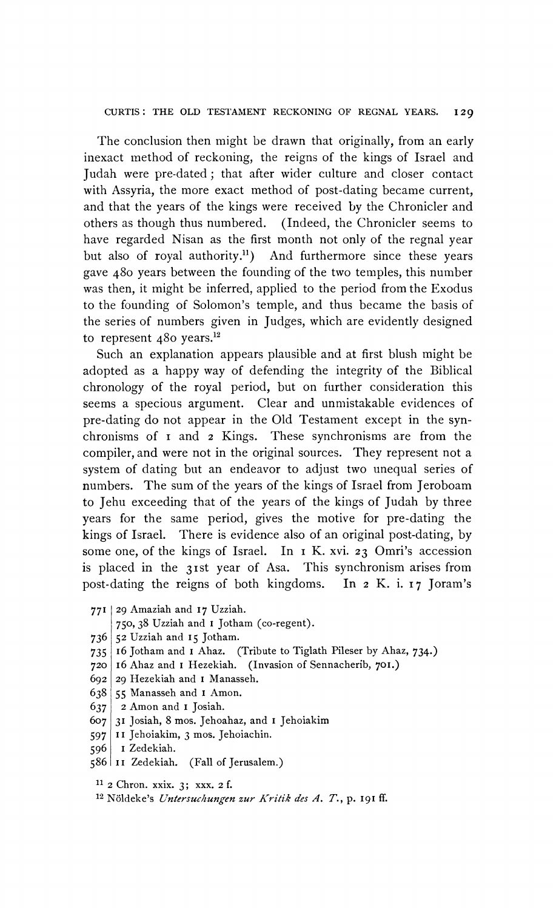**The conclusion then might be drawn that originally, from an early inexact method of reckoning, the reigns of the kings of Israel and Judah were pre-dated; that after wider culture and closer contact with Assyria, the more exact method of post-dating became current, and that the years of the kings were received by the Chronicler and others as though thus numbered. (Indeed, the Chronicler seems to have regarded Nisan as the first month not only of the regnal year but also of royal authority.1) And furthermore since these years gave 480 years between the founding of the two temples, this number was then, it might be inferred, applied to the period from the Exodus to the founding of Solomon's temple, and thus became the basis of the series of numbers given in Judges, which are evidently designed to represent 480 years.l2** 

**Such an explanation appears plausible and at first blush might be adopted as a happy way of defending the integrity of the Biblical chronology of the royal period, but on further consideration this seems a specious argument. Clear and unmistakable evidences of pre-dating do not appear in the Old Testament except in the synchronisms of i and 2 Kings. These synchronisms are from the compiler, and were not in the original sources. They represent not a system of dating but an endeavor to adjust two unequal series of numbers. The sum of the years of the kings of Israel from Jeroboam to Jehu exceeding that of the years of the kings of Judah by three years for the same period, gives the motive for pre-dating the kings of Israel. There is evidence also of an original post-dating, by some one, of the kings of Israel. In i K. xvi. 23 Omri's accession**  is placed in the 31st year of Asa. This synchronism arises from post-dating the reigns of both kingdoms. In 2 K. i. 17 Joram's post-dating the reigns of both kingdoms.

- **771 29 Amaziah and 17 Uzziah.**
- **750, 38 Uzziah and I Jotham (co-regent).**
- **736 52 Uzziah and 15 Jotham.**
- **735 I6 Jotham and I Ahaz. (Tribute to Tiglath Pileser by Ahaz, 734.)**
- **720 I6 Ahaz and I Hezekiah. (Invasion of Sennacherib, 701.)**
- **692 29 Hezekiah and I Manasseh.**
- **638 55 Manasseh and I Amon.**
- **637 2 Amon and I Josiah.**
- **607 31 Josiah, 8 mos. Jehoahaz, and I Jehoiakim**
- **597 II Jehoiakim, 3 mos. Jehoiachin.**
- **596 I Zedekiah.**
- **586 II Zedekiah. (Fall of Jerusalem.)**

**11 2 Chron. xxix. 3; xxx. 2 f.** 

**<sup>12</sup> Noldeke's Untersuchungen zur Kritik des A. T., p. I9I ff.**